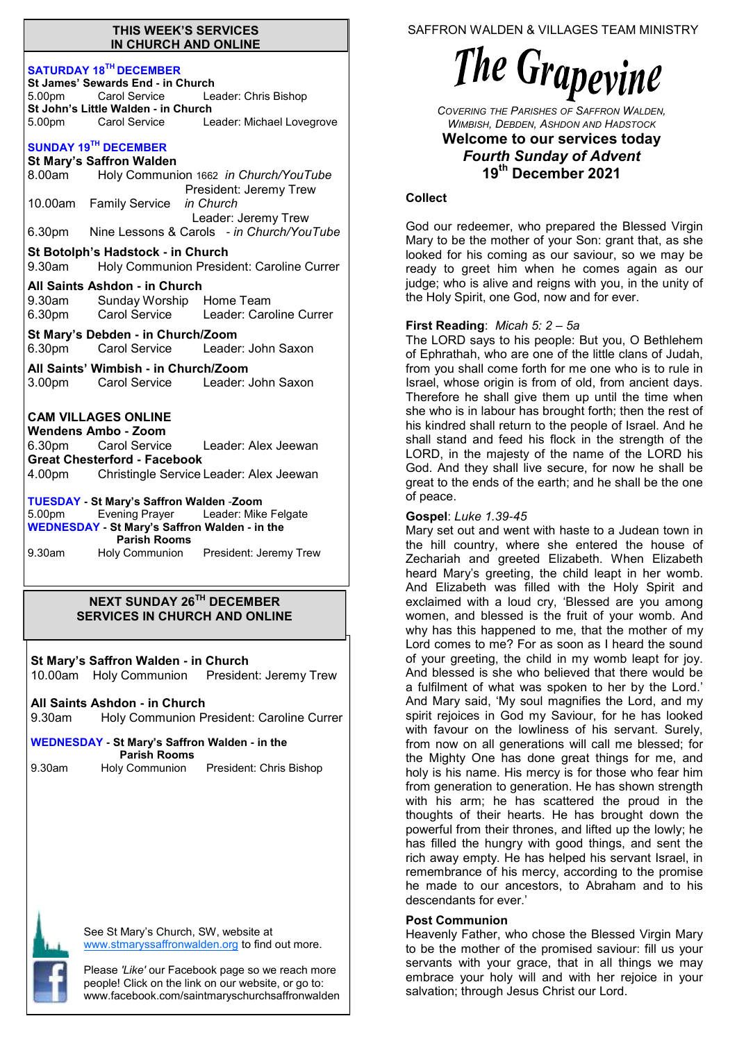#### **THIS WEEK'S SERVICES IN CHURCH AND ONLINE**

# **SATURDAY 18TH DECEMBER**

|                                      | 5.00pm | St James' Sewards End - in Church                                           | Carol Service Leader: Chris Bishop                                     |
|--------------------------------------|--------|-----------------------------------------------------------------------------|------------------------------------------------------------------------|
|                                      |        | St John's Little Walden - in Church                                         |                                                                        |
|                                      |        |                                                                             | 5.00pm Carol Service Leader: Michael Lovegrove                         |
|                                      |        | SUNDAY 19TH DECEMBER<br><b>St Mary's Saffron Walden</b>                     |                                                                        |
|                                      |        |                                                                             | 8.00am Holy Communion 1662 in Church/YouTube<br>President: Jeremy Trew |
|                                      |        | 10.00am Family Service                                                      | in Church<br>Leader: Jeremy Trew                                       |
|                                      | 6.30pm |                                                                             | Nine Lessons & Carols - in Church/YouTube                              |
|                                      | 9.30am | St Botolph's Hadstock - in Church                                           | Holy Communion President: Caroline Currer                              |
|                                      |        | All Saints Ashdon - in Church                                               |                                                                        |
|                                      | 6.30pm | 9.30am Sunday Worship Home Team                                             | Carol Service Leader: Caroline Currer                                  |
| St Mary's Debden - in Church/Zoom    |        |                                                                             |                                                                        |
|                                      | 6.30pm |                                                                             | Carol Service Leader: John Saxon                                       |
| All Saints' Wimbish - in Church/Zoom |        |                                                                             |                                                                        |
|                                      |        |                                                                             |                                                                        |
|                                      |        |                                                                             | 3.00pm Carol Service Leader: John Saxon                                |
|                                      |        |                                                                             |                                                                        |
|                                      |        | <b>CAM VILLAGES ONLINE</b>                                                  |                                                                        |
|                                      |        | Wendens Ambo - Zoom                                                         |                                                                        |
|                                      |        |                                                                             | 6.30pm Carol Service Leader: Alex Jeewan                               |
|                                      |        | <b>Great Chesterford - Facebook</b>                                         |                                                                        |
|                                      | 4.00pm |                                                                             | Christingle Service Leader: Alex Jeewan                                |
|                                      |        | <b>TUESDAY - St Mary's Saffron Walden - Zoom</b>                            |                                                                        |
|                                      | 5.00pm |                                                                             | Evening Prayer Leader: Mike Felgate                                    |
|                                      |        | <b>WEDNESDAY - St Mary's Saffron Walden - in the</b><br><b>Parish Rooms</b> |                                                                        |
|                                      | 9.30am |                                                                             | Holy Communion President: Jeremy Trew                                  |

## **NEXT SUNDAY 26TH DECEMBER SERVICES IN CHURCH AND ONLINE**

**St Mary's Saffron Walden - in Church** 10.00am Holy Communion President: Jeremy Trew

**All Saints Ashdon - in Church** 9.30am Holy Communion President: Caroline Currer

**WEDNESDAY - St Mary's Saffron Walden - in the Parish Rooms** 9.30am Holy Communion President: Chris Bishop

See St Mary's Church, SW, website at [www.stmaryssaffronwalden.org](http://www.stmaryssaffronwalden.org) to find out more.

Please *'Like'* our Facebook page so we reach more people! Click on the link on our website, or go to: www.facebook.com/saintmaryschurchsaffronwalden SAFFRON WALDEN & VILLAGES TEAM MINISTRY

# The Grapevine

*COVERING THE PARISHES OF SAFFRON WALDEN, WIMBISH, DEBDEN, ASHDON AND HADSTOCK*

# **Welcome to our services today**  *Fourth Sunday of Advent* **19th December 2021**

### **Collect**

God our redeemer, who prepared the Blessed Virgin Mary to be the mother of your Son: grant that, as she looked for his coming as our saviour, so we may be ready to greet him when he comes again as our judge; who is alive and reigns with you, in the unity of the Holy Spirit, one God, now and for ever.

## **First Reading**: *Micah 5: 2 – 5a*

The LORD says to his people: But you, O Bethlehem of Ephrathah, who are one of the little clans of Judah, from you shall come forth for me one who is to rule in Israel, whose origin is from of old, from ancient days. Therefore he shall give them up until the time when she who is in labour has brought forth; then the rest of his kindred shall return to the people of Israel. And he shall stand and feed his flock in the strength of the LORD, in the majesty of the name of the LORD his God. And they shall live secure, for now he shall be great to the ends of the earth; and he shall be the one of peace.

## **Gospel**: *Luke 1.39-45*

Mary set out and went with haste to a Judean town in the hill country, where she entered the house of Zechariah and greeted Elizabeth. When Elizabeth heard Mary's greeting, the child leapt in her womb. And Elizabeth was filled with the Holy Spirit and exclaimed with a loud cry, 'Blessed are you among women, and blessed is the fruit of your womb. And why has this happened to me, that the mother of my Lord comes to me? For as soon as I heard the sound of your greeting, the child in my womb leapt for joy. And blessed is she who believed that there would be a fulfilment of what was spoken to her by the Lord.' And Mary said, 'My soul magnifies the Lord, and my spirit rejoices in God my Saviour, for he has looked with favour on the lowliness of his servant. Surely, from now on all generations will call me blessed; for the Mighty One has done great things for me, and holy is his name. His mercy is for those who fear him from generation to generation. He has shown strength with his arm; he has scattered the proud in the thoughts of their hearts. He has brought down the powerful from their thrones, and lifted up the lowly; he has filled the hungry with good things, and sent the rich away empty. He has helped his servant Israel, in remembrance of his mercy, according to the promise he made to our ancestors, to Abraham and to his descendants for ever.'

## **Post Communion**

Heavenly Father, who chose the Blessed Virgin Mary to be the mother of the promised saviour: fill us your servants with your grace, that in all things we may embrace your holy will and with her rejoice in your salvation; through Jesus Christ our Lord.